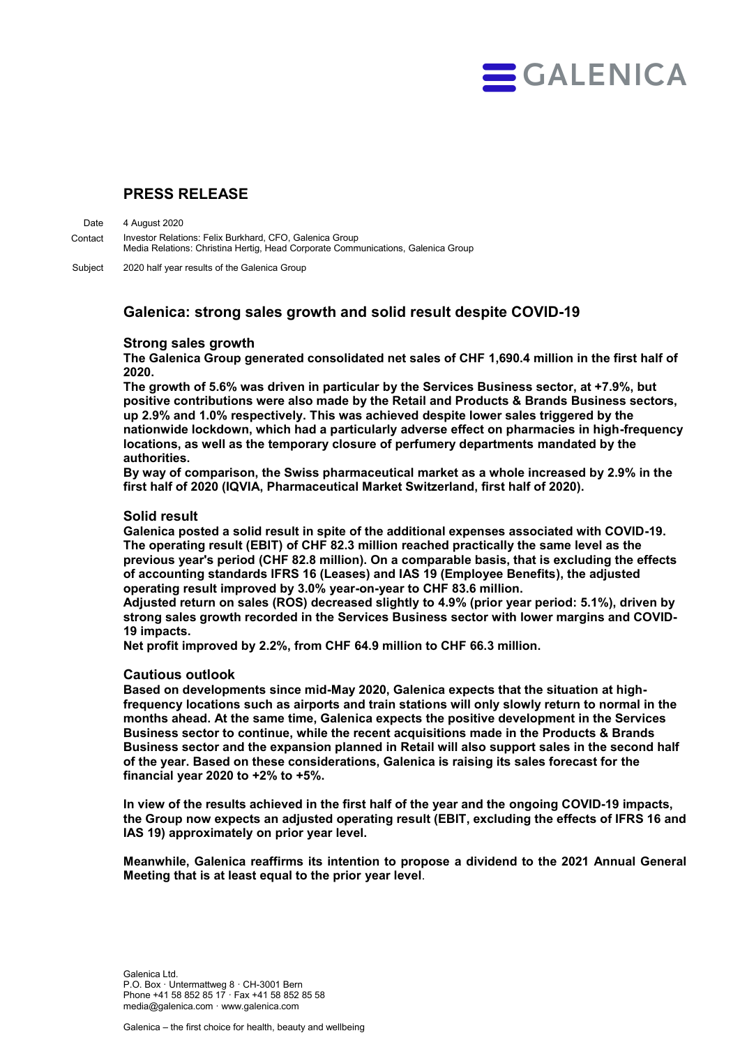

# **PRESS RELEASE**

4 August 2020 Investor Relations: Felix Burkhard, CFO, Galenica Group Media Relations: Christina Hertig, Head Corporate Communications, Galenica Group Date Contact

2020 half year results of the Galenica Group Subject

## **Galenica: strong sales growth and solid result despite COVID-19**

## **Strong sales growth**

**The Galenica Group generated consolidated net sales of CHF 1,690.4 million in the first half of 2020.** 

**The growth of 5.6% was driven in particular by the Services Business sector, at +7.9%, but positive contributions were also made by the Retail and Products & Brands Business sectors, up 2.9% and 1.0% respectively. This was achieved despite lower sales triggered by the nationwide lockdown, which had a particularly adverse effect on pharmacies in high-frequency locations, as well as the temporary closure of perfumery departments mandated by the authorities.**

**By way of comparison, the Swiss pharmaceutical market as a whole increased by 2.9% in the first half of 2020 (IQVIA, Pharmaceutical Market Switzerland, first half of 2020).** 

## **Solid result**

**Galenica posted a solid result in spite of the additional expenses associated with COVID-19. The operating result (EBIT) of CHF 82.3 million reached practically the same level as the previous year's period (CHF 82.8 million). On a comparable basis, that is excluding the effects of accounting standards IFRS 16 (Leases) and IAS 19 (Employee Benefits), the adjusted operating result improved by 3.0% year-on-year to CHF 83.6 million.** 

**Adjusted return on sales (ROS) decreased slightly to 4.9% (prior year period: 5.1%), driven by strong sales growth recorded in the Services Business sector with lower margins and COVID-19 impacts.**

**Net profit improved by 2.2%, from CHF 64.9 million to CHF 66.3 million.** 

## **Cautious outlook**

**Based on developments since mid-May 2020, Galenica expects that the situation at highfrequency locations such as airports and train stations will only slowly return to normal in the months ahead. At the same time, Galenica expects the positive development in the Services Business sector to continue, while the recent acquisitions made in the Products & Brands Business sector and the expansion planned in Retail will also support sales in the second half of the year. Based on these considerations, Galenica is raising its sales forecast for the financial year 2020 to +2% to +5%.**

**In view of the results achieved in the first half of the year and the ongoing COVID-19 impacts, the Group now expects an adjusted operating result (EBIT, excluding the effects of IFRS 16 and IAS 19) approximately on prior year level.** 

**Meanwhile, Galenica reaffirms its intention to propose a dividend to the 2021 Annual General Meeting that is at least equal to the prior year level**.

Galenica Ltd. P.O. Box · Untermattweg 8 · CH-3001 Bern Phone +41 58 852 85 17 · Fax +41 58 852 85 58 media@galenica.com · www.galenica.com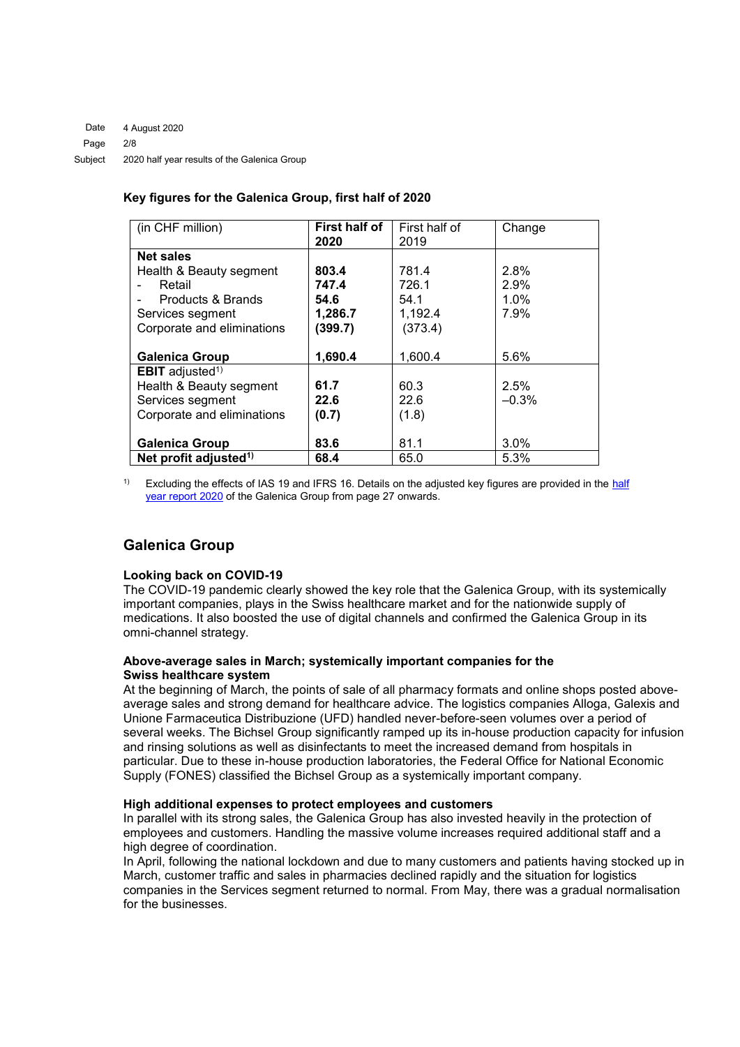## **Key figures for the Galenica Group, first half of 2020**

| (in CHF million)                   | First half of | First half of | Change  |
|------------------------------------|---------------|---------------|---------|
|                                    | 2020          | 2019          |         |
| <b>Net sales</b>                   |               |               |         |
| Health & Beauty segment            | 803.4         | 781.4         | 2.8%    |
| Retail                             | 747.4         | 726.1         | 2.9%    |
| Products & Brands                  | 54.6          | 54.1          | 1.0%    |
| Services segment                   | 1,286.7       | 1,192.4       | 7.9%    |
| Corporate and eliminations         | (399.7)       | (373.4)       |         |
|                                    |               |               |         |
| <b>Galenica Group</b>              | 1,690.4       | 1,600.4       | 5.6%    |
| <b>EBIT</b> adjusted <sup>1)</sup> |               |               |         |
| Health & Beauty segment            | 61.7          | 60.3          | 2.5%    |
| Services segment                   | 22.6          | 22.6          | $-0.3%$ |
| Corporate and eliminations         | (0.7)         | (1.8)         |         |
|                                    |               |               |         |
| <b>Galenica Group</b>              | 83.6          | 81.1          | 3.0%    |
| Net profit adjusted <sup>1)</sup>  | 68.4          | 65.0          | 5.3%    |

Excluding the effects of IAS 19 and IFRS 16. Details on the adjusted key figures are provided in the half [year report 2020](http://www.galenica.com/galenicaAssets/bin/en/publikationen/half-year-report-2020/hjb20_gesamt_en.pdf) of the Galenica Group from page 27 onwards.

# **Galenica Group**

## **Looking back on COVID-19**

The COVID-19 pandemic clearly showed the key role that the Galenica Group, with its systemically important companies, plays in the Swiss healthcare market and for the nationwide supply of medications. It also boosted the use of digital channels and confirmed the Galenica Group in its omni-channel strategy.

## **Above-average sales in March; systemically important companies for the Swiss healthcare system**

At the beginning of March, the points of sale of all pharmacy formats and online shops posted aboveaverage sales and strong demand for healthcare advice. The logistics companies Alloga, Galexis and Unione Farmaceutica Distribuzione (UFD) handled never-before-seen volumes over a period of several weeks. The Bichsel Group significantly ramped up its in-house production capacity for infusion and rinsing solutions as well as disinfectants to meet the increased demand from hospitals in particular. Due to these in-house production laboratories, the Federal Office for National Economic Supply (FONES) classified the Bichsel Group as a systemically important company.

## **High additional expenses to protect employees and customers**

In parallel with its strong sales, the Galenica Group has also invested heavily in the protection of employees and customers. Handling the massive volume increases required additional staff and a high degree of coordination.

In April, following the national lockdown and due to many customers and patients having stocked up in March, customer traffic and sales in pharmacies declined rapidly and the situation for logistics companies in the Services segment returned to normal. From May, there was a gradual normalisation for the businesses.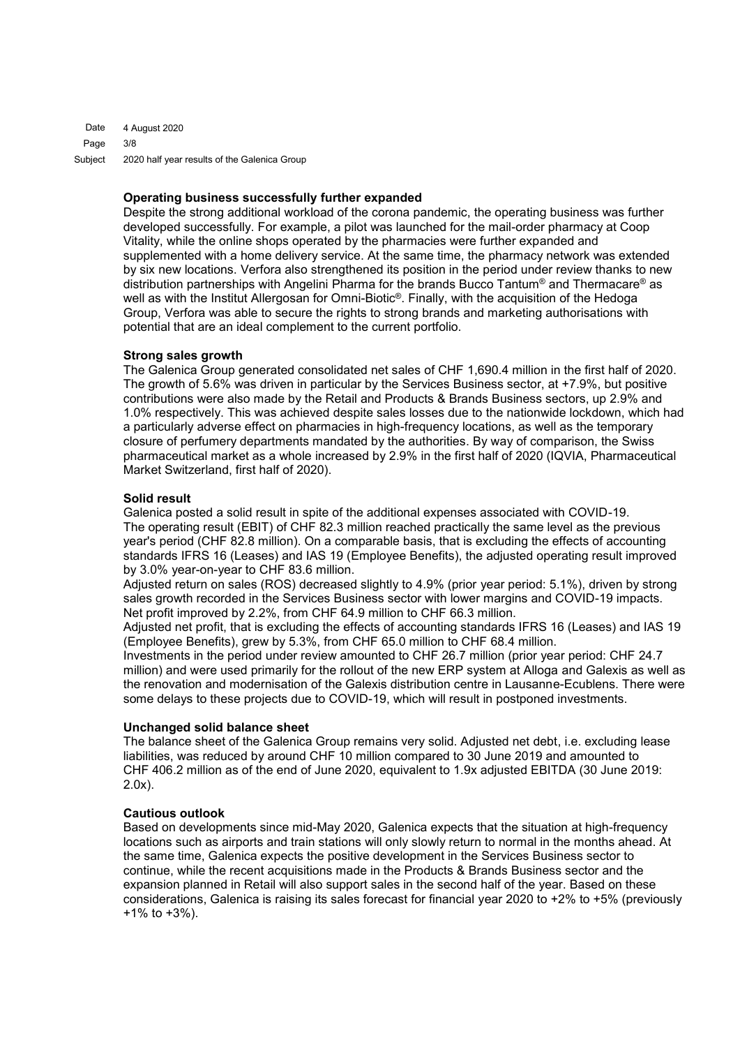4 August 2020 3/8 2020 half year results of the Galenica Group Date Page Subject

### **Operating business successfully further expanded**

Despite the strong additional workload of the corona pandemic, the operating business was further developed successfully. For example, a pilot was launched for the mail-order pharmacy at Coop Vitality, while the online shops operated by the pharmacies were further expanded and supplemented with a home delivery service. At the same time, the pharmacy network was extended by six new locations. Verfora also strengthened its position in the period under review thanks to new distribution partnerships with Angelini Pharma for the brands Bucco Tantum® and Thermacare® as well as with the Institut Allergosan for Omni-Biotic®. Finally, with the acquisition of the Hedoga Group, Verfora was able to secure the rights to strong brands and marketing authorisations with potential that are an ideal complement to the current portfolio.

## **Strong sales growth**

The Galenica Group generated consolidated net sales of CHF 1,690.4 million in the first half of 2020. The growth of 5.6% was driven in particular by the Services Business sector, at +7.9%, but positive contributions were also made by the Retail and Products & Brands Business sectors, up 2.9% and 1.0% respectively. This was achieved despite sales losses due to the nationwide lockdown, which had a particularly adverse effect on pharmacies in high-frequency locations, as well as the temporary closure of perfumery departments mandated by the authorities. By way of comparison, the Swiss pharmaceutical market as a whole increased by 2.9% in the first half of 2020 (IQVIA, Pharmaceutical Market Switzerland, first half of 2020).

#### **Solid result**

Galenica posted a solid result in spite of the additional expenses associated with COVID-19. The operating result (EBIT) of CHF 82.3 million reached practically the same level as the previous year's period (CHF 82.8 million). On a comparable basis, that is excluding the effects of accounting standards IFRS 16 (Leases) and IAS 19 (Employee Benefits), the adjusted operating result improved by 3.0% year-on-year to CHF 83.6 million.

Adjusted return on sales (ROS) decreased slightly to 4.9% (prior year period: 5.1%), driven by strong sales growth recorded in the Services Business sector with lower margins and COVID-19 impacts. Net profit improved by 2.2%, from CHF 64.9 million to CHF 66.3 million.

Adjusted net profit, that is excluding the effects of accounting standards IFRS 16 (Leases) and IAS 19 (Employee Benefits), grew by 5.3%, from CHF 65.0 million to CHF 68.4 million.

Investments in the period under review amounted to CHF 26.7 million (prior year period: CHF 24.7 million) and were used primarily for the rollout of the new ERP system at Alloga and Galexis as well as the renovation and modernisation of the Galexis distribution centre in Lausanne-Ecublens. There were some delays to these projects due to COVID-19, which will result in postponed investments.

## **Unchanged solid balance sheet**

The balance sheet of the Galenica Group remains very solid. Adjusted net debt, i.e. excluding lease liabilities, was reduced by around CHF 10 million compared to 30 June 2019 and amounted to CHF 406.2 million as of the end of June 2020, equivalent to 1.9x adjusted EBITDA (30 June 2019: 2.0x).

#### **Cautious outlook**

Based on developments since mid-May 2020, Galenica expects that the situation at high-frequency locations such as airports and train stations will only slowly return to normal in the months ahead. At the same time, Galenica expects the positive development in the Services Business sector to continue, while the recent acquisitions made in the Products & Brands Business sector and the expansion planned in Retail will also support sales in the second half of the year. Based on these considerations, Galenica is raising its sales forecast for financial year 2020 to +2% to +5% (previously +1% to +3%).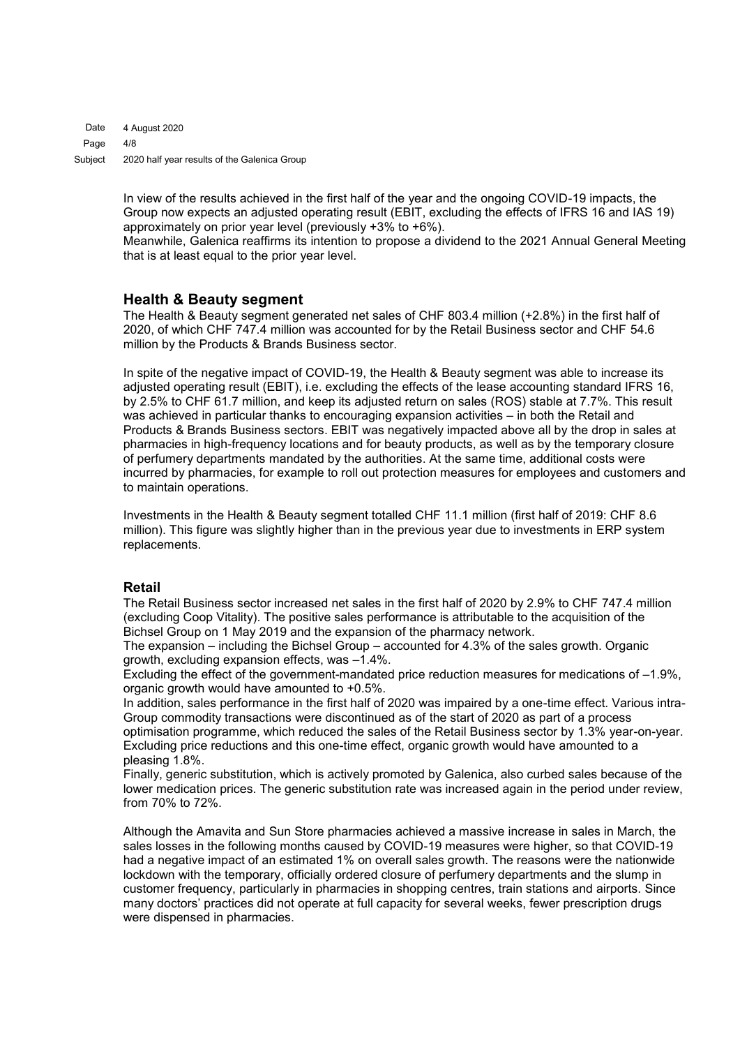4 August 2020 4/8 2020 half year results of the Galenica Group Date Page Subject

> In view of the results achieved in the first half of the year and the ongoing COVID-19 impacts, the Group now expects an adjusted operating result (EBIT, excluding the effects of IFRS 16 and IAS 19) approximately on prior year level (previously +3% to +6%).

Meanwhile, Galenica reaffirms its intention to propose a dividend to the 2021 Annual General Meeting that is at least equal to the prior year level.

## **Health & Beauty segment**

The Health & Beauty segment generated net sales of CHF 803.4 million (+2.8%) in the first half of 2020, of which CHF 747.4 million was accounted for by the Retail Business sector and CHF 54.6 million by the Products & Brands Business sector.

In spite of the negative impact of COVID-19, the Health & Beauty segment was able to increase its adjusted operating result (EBIT), i.e. excluding the effects of the lease accounting standard IFRS 16, by 2.5% to CHF 61.7 million, and keep its adjusted return on sales (ROS) stable at 7.7%. This result was achieved in particular thanks to encouraging expansion activities – in both the Retail and Products & Brands Business sectors. EBIT was negatively impacted above all by the drop in sales at pharmacies in high-frequency locations and for beauty products, as well as by the temporary closure of perfumery departments mandated by the authorities. At the same time, additional costs were incurred by pharmacies, for example to roll out protection measures for employees and customers and to maintain operations.

Investments in the Health & Beauty segment totalled CHF 11.1 million (first half of 2019: CHF 8.6 million). This figure was slightly higher than in the previous year due to investments in ERP system replacements.

## **Retail**

The Retail Business sector increased net sales in the first half of 2020 by 2.9% to CHF 747.4 million (excluding Coop Vitality). The positive sales performance is attributable to the acquisition of the Bichsel Group on 1 May 2019 and the expansion of the pharmacy network.

The expansion – including the Bichsel Group – accounted for 4.3% of the sales growth. Organic growth, excluding expansion effects, was –1.4%.

Excluding the effect of the government-mandated price reduction measures for medications of –1.9%, organic growth would have amounted to +0.5%.

In addition, sales performance in the first half of 2020 was impaired by a one-time effect. Various intra-Group commodity transactions were discontinued as of the start of 2020 as part of a process

optimisation programme, which reduced the sales of the Retail Business sector by 1.3% year-on-year. Excluding price reductions and this one-time effect, organic growth would have amounted to a pleasing 1.8%.

Finally, generic substitution, which is actively promoted by Galenica, also curbed sales because of the lower medication prices. The generic substitution rate was increased again in the period under review, from 70% to 72%.

Although the Amavita and Sun Store pharmacies achieved a massive increase in sales in March, the sales losses in the following months caused by COVID-19 measures were higher, so that COVID-19 had a negative impact of an estimated 1% on overall sales growth. The reasons were the nationwide lockdown with the temporary, officially ordered closure of perfumery departments and the slump in customer frequency, particularly in pharmacies in shopping centres, train stations and airports. Since many doctors' practices did not operate at full capacity for several weeks, fewer prescription drugs were dispensed in pharmacies.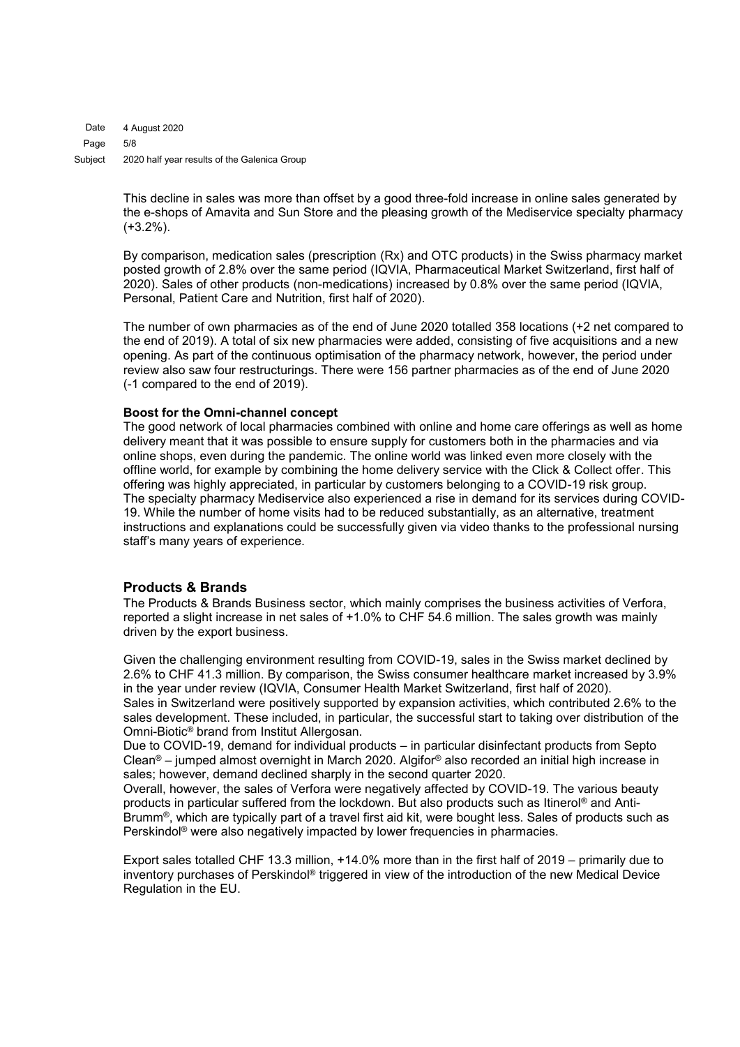4 August 2020 5/8 2020 half year results of the Galenica Group Date Page Subject

> This decline in sales was more than offset by a good three-fold increase in online sales generated by the e-shops of Amavita and Sun Store and the pleasing growth of the Mediservice specialty pharmacy  $(+3.2\%)$ .

> By comparison, medication sales (prescription (Rx) and OTC products) in the Swiss pharmacy market posted growth of 2.8% over the same period (IQVIA, Pharmaceutical Market Switzerland, first half of 2020). Sales of other products (non-medications) increased by 0.8% over the same period (IQVIA, Personal, Patient Care and Nutrition, first half of 2020).

> The number of own pharmacies as of the end of June 2020 totalled 358 locations (+2 net compared to the end of 2019). A total of six new pharmacies were added, consisting of five acquisitions and a new opening. As part of the continuous optimisation of the pharmacy network, however, the period under review also saw four restructurings. There were 156 partner pharmacies as of the end of June 2020 (-1 compared to the end of 2019).

## **Boost for the Omni-channel concept**

The good network of local pharmacies combined with online and home care offerings as well as home delivery meant that it was possible to ensure supply for customers both in the pharmacies and via online shops, even during the pandemic. The online world was linked even more closely with the offline world, for example by combining the home delivery service with the Click & Collect offer. This offering was highly appreciated, in particular by customers belonging to a COVID-19 risk group. The specialty pharmacy Mediservice also experienced a rise in demand for its services during COVID-19. While the number of home visits had to be reduced substantially, as an alternative, treatment instructions and explanations could be successfully given via video thanks to the professional nursing staff's many years of experience.

## **Products & Brands**

The Products & Brands Business sector, which mainly comprises the business activities of Verfora, reported a slight increase in net sales of +1.0% to CHF 54.6 million. The sales growth was mainly driven by the export business.

Given the challenging environment resulting from COVID-19, sales in the Swiss market declined by 2.6% to CHF 41.3 million. By comparison, the Swiss consumer healthcare market increased by 3.9% in the year under review (IQVIA, Consumer Health Market Switzerland, first half of 2020). Sales in Switzerland were positively supported by expansion activities, which contributed 2.6% to the sales development. These included, in particular, the successful start to taking over distribution of the Omni-Biotic® brand from Institut Allergosan.

Due to COVID-19, demand for individual products – in particular disinfectant products from Septo Clean® – jumped almost overnight in March 2020. Algifor® also recorded an initial high increase in sales; however, demand declined sharply in the second quarter 2020.

Overall, however, the sales of Verfora were negatively affected by COVID-19. The various beauty products in particular suffered from the lockdown. But also products such as Itinerol® and Anti-Brumm®, which are typically part of a travel first aid kit, were bought less. Sales of products such as Perskindol® were also negatively impacted by lower frequencies in pharmacies.

Export sales totalled CHF 13.3 million, +14.0% more than in the first half of 2019 – primarily due to inventory purchases of Perskindol® triggered in view of the introduction of the new Medical Device Regulation in the EU.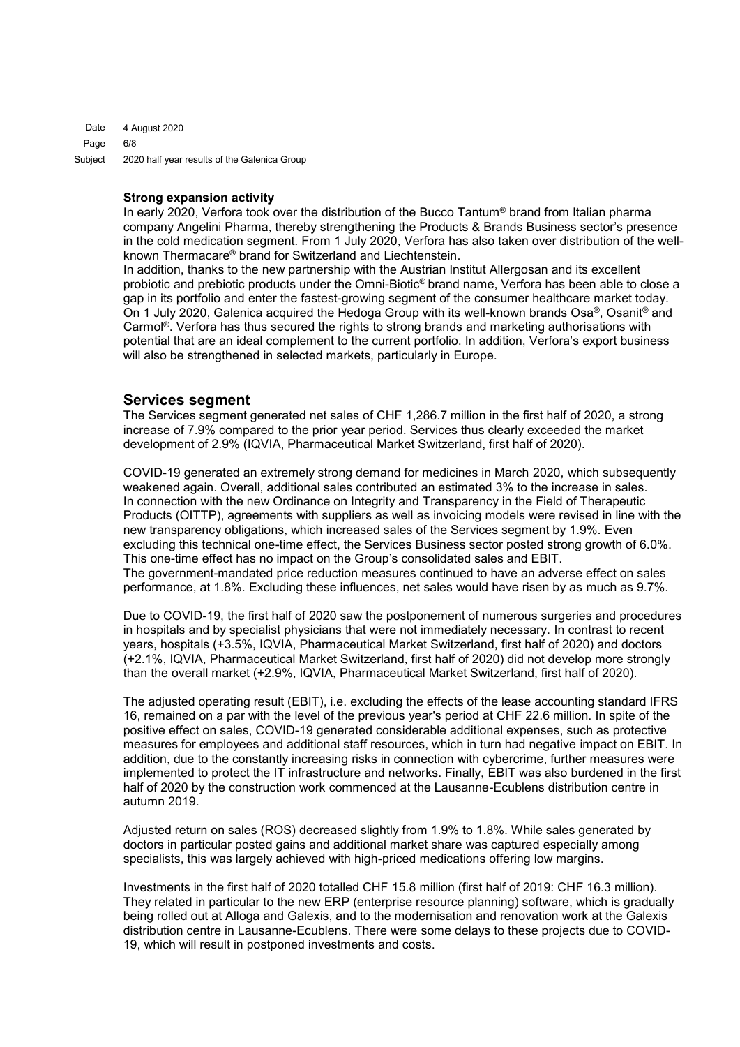4 August 2020 6/8 2020 half year results of the Galenica Group Date Page Subject

#### **Strong expansion activity**

In early 2020, Verfora took over the distribution of the Bucco Tantum® brand from Italian pharma company Angelini Pharma, thereby strengthening the Products & Brands Business sector's presence in the cold medication segment. From 1 July 2020, Verfora has also taken over distribution of the wellknown Thermacare® brand for Switzerland and Liechtenstein.

In addition, thanks to the new partnership with the Austrian Institut Allergosan and its excellent probiotic and prebiotic products under the Omni-Biotic® brand name, Verfora has been able to close a gap in its portfolio and enter the fastest-growing segment of the consumer healthcare market today. On 1 July 2020, Galenica acquired the Hedoga Group with its well-known brands Osa®, Osanit® and Carmol®. Verfora has thus secured the rights to strong brands and marketing authorisations with potential that are an ideal complement to the current portfolio. In addition, Verfora's export business will also be strengthened in selected markets, particularly in Europe.

## **Services segment**

The Services segment generated net sales of CHF 1,286.7 million in the first half of 2020, a strong increase of 7.9% compared to the prior year period. Services thus clearly exceeded the market development of 2.9% (IQVIA, Pharmaceutical Market Switzerland, first half of 2020).

COVID-19 generated an extremely strong demand for medicines in March 2020, which subsequently weakened again. Overall, additional sales contributed an estimated 3% to the increase in sales. In connection with the new Ordinance on Integrity and Transparency in the Field of Therapeutic Products (OITTP), agreements with suppliers as well as invoicing models were revised in line with the new transparency obligations, which increased sales of the Services segment by 1.9%. Even excluding this technical one-time effect, the Services Business sector posted strong growth of 6.0%. This one-time effect has no impact on the Group's consolidated sales and EBIT. The government-mandated price reduction measures continued to have an adverse effect on sales performance, at 1.8%. Excluding these influences, net sales would have risen by as much as 9.7%.

Due to COVID-19, the first half of 2020 saw the postponement of numerous surgeries and procedures in hospitals and by specialist physicians that were not immediately necessary. In contrast to recent years, hospitals (+3.5%, IQVIA, Pharmaceutical Market Switzerland, first half of 2020) and doctors (+2.1%, IQVIA, Pharmaceutical Market Switzerland, first half of 2020) did not develop more strongly than the overall market (+2.9%, IQVIA, Pharmaceutical Market Switzerland, first half of 2020).

The adjusted operating result (EBIT), i.e. excluding the effects of the lease accounting standard IFRS 16, remained on a par with the level of the previous year's period at CHF 22.6 million. In spite of the positive effect on sales, COVID-19 generated considerable additional expenses, such as protective measures for employees and additional staff resources, which in turn had negative impact on EBIT. In addition, due to the constantly increasing risks in connection with cybercrime, further measures were implemented to protect the IT infrastructure and networks. Finally, EBIT was also burdened in the first half of 2020 by the construction work commenced at the Lausanne-Ecublens distribution centre in autumn 2019.

Adjusted return on sales (ROS) decreased slightly from 1.9% to 1.8%. While sales generated by doctors in particular posted gains and additional market share was captured especially among specialists, this was largely achieved with high-priced medications offering low margins.

Investments in the first half of 2020 totalled CHF 15.8 million (first half of 2019: CHF 16.3 million). They related in particular to the new ERP (enterprise resource planning) software, which is gradually being rolled out at Alloga and Galexis, and to the modernisation and renovation work at the Galexis distribution centre in Lausanne-Ecublens. There were some delays to these projects due to COVID-19, which will result in postponed investments and costs.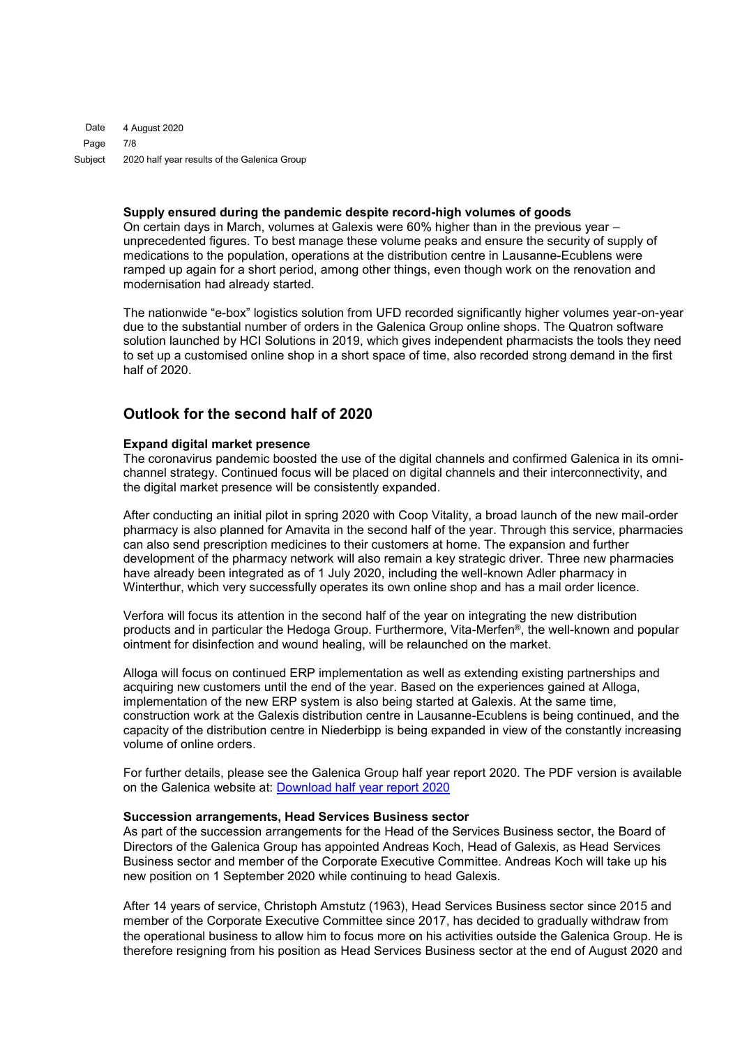4 August 2020 7/8 2020 half year results of the Galenica Group Date Page Subject

#### **Supply ensured during the pandemic despite record-high volumes of goods**

On certain days in March, volumes at Galexis were 60% higher than in the previous year – unprecedented figures. To best manage these volume peaks and ensure the security of supply of medications to the population, operations at the distribution centre in Lausanne-Ecublens were ramped up again for a short period, among other things, even though work on the renovation and modernisation had already started.

The nationwide "e-box" logistics solution from UFD recorded significantly higher volumes year-on-year due to the substantial number of orders in the Galenica Group online shops. The Quatron software solution launched by HCI Solutions in 2019, which gives independent pharmacists the tools they need to set up a customised online shop in a short space of time, also recorded strong demand in the first half of 2020.

## **Outlook for the second half of 2020**

#### **Expand digital market presence**

The coronavirus pandemic boosted the use of the digital channels and confirmed Galenica in its omnichannel strategy. Continued focus will be placed on digital channels and their interconnectivity, and the digital market presence will be consistently expanded.

After conducting an initial pilot in spring 2020 with Coop Vitality, a broad launch of the new mail-order pharmacy is also planned for Amavita in the second half of the year. Through this service, pharmacies can also send prescription medicines to their customers at home. The expansion and further development of the pharmacy network will also remain a key strategic driver. Three new pharmacies have already been integrated as of 1 July 2020, including the well-known Adler pharmacy in Winterthur, which very successfully operates its own online shop and has a mail order licence.

Verfora will focus its attention in the second half of the year on integrating the new distribution products and in particular the Hedoga Group. Furthermore, Vita-Merfen®, the well-known and popular ointment for disinfection and wound healing, will be relaunched on the market.

Alloga will focus on continued ERP implementation as well as extending existing partnerships and acquiring new customers until the end of the year. Based on the experiences gained at Alloga, implementation of the new ERP system is also being started at Galexis. At the same time, construction work at the Galexis distribution centre in Lausanne-Ecublens is being continued, and the capacity of the distribution centre in Niederbipp is being expanded in view of the constantly increasing volume of online orders.

For further details, please see the Galenica Group half year report 2020. The PDF version is available on the Galenica website at: [Download half](http://www.galenica.com/galenicaAssets/bin/en/publikationen/half-year-report-2020/hjb20_gesamt_en.pdf) year report 2020

#### **Succession arrangements, Head Services Business sector**

As part of the succession arrangements for the Head of the Services Business sector, the Board of Directors of the Galenica Group has appointed Andreas Koch, Head of Galexis, as Head Services Business sector and member of the Corporate Executive Committee. Andreas Koch will take up his new position on 1 September 2020 while continuing to head Galexis.

After 14 years of service, Christoph Amstutz (1963), Head Services Business sector since 2015 and member of the Corporate Executive Committee since 2017, has decided to gradually withdraw from the operational business to allow him to focus more on his activities outside the Galenica Group. He is therefore resigning from his position as Head Services Business sector at the end of August 2020 and